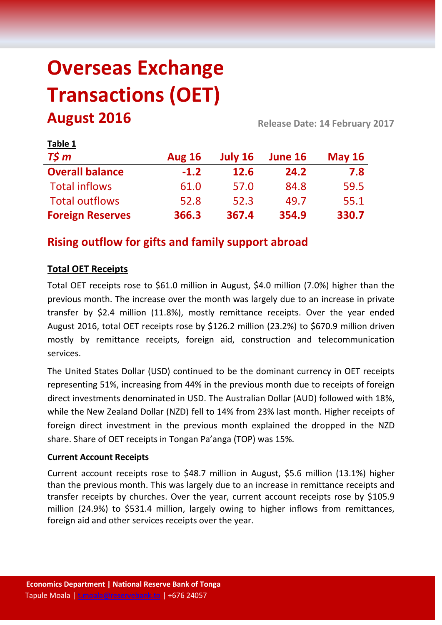# **Overseas Exchange Transactions (OET) August 2016 Release Date: 14 February <sup>2017</sup>**

| Table 1                 |               |             |                |               |  |
|-------------------------|---------------|-------------|----------------|---------------|--|
| $T\frac{2}{3}m$         | <b>Aug 16</b> | July 16     | <b>June 16</b> | <b>May 16</b> |  |
| <b>Overall balance</b>  | $-1.2$        | <b>12.6</b> | 24.2           | 7.8           |  |
| <b>Total inflows</b>    | 61.0          | 57.0        | 84.8           | 59.5          |  |
| <b>Total outflows</b>   | 52.8          | 52.3        | 49.7           | 55.1          |  |
| <b>Foreign Reserves</b> | 366.3         | 367.4       | 354.9          | 330.7         |  |

# **Rising outflow for gifts and family support abroad**

# **Total OET Receipts**

Total OET receipts rose to \$61.0 million in August, \$4.0 million (7.0%) higher than the previous month. The increase over the month was largely due to an increase in private transfer by \$2.4 million (11.8%), mostly remittance receipts. Over the year ended August 2016, total OET receipts rose by \$126.2 million (23.2%) to \$670.9 million driven mostly by remittance receipts, foreign aid, construction and telecommunication services.

The United States Dollar (USD) continued to be the dominant currency in OET receipts representing 51%, increasing from 44% in the previous month due to receipts of foreign direct investments denominated in USD. The Australian Dollar (AUD) followed with 18%, while the New Zealand Dollar (NZD) fell to 14% from 23% last month. Higher receipts of foreign direct investment in the previous month explained the dropped in the NZD share. Share of OET receipts in Tongan Pa'anga (TOP) was 15%.

#### **Current Account Receipts**

Current account receipts rose to \$48.7 million in August, \$5.6 million (13.1%) higher than the previous month. This was largely due to an increase in remittance receipts and transfer receipts by churches. Over the year, current account receipts rose by \$105.9 million (24.9%) to \$531.4 million, largely owing to higher inflows from remittances, foreign aid and other services receipts over the year.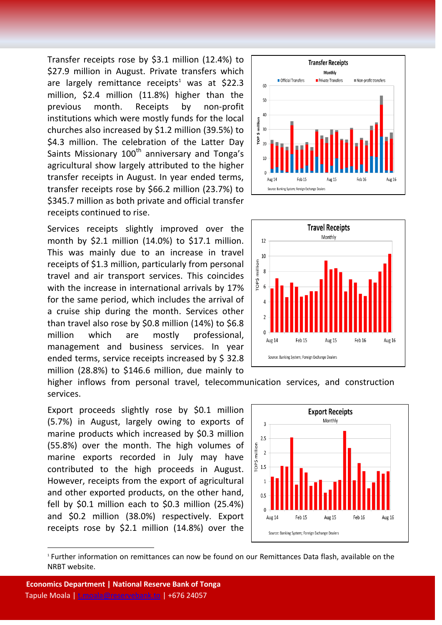Transfer receipts rose by \$3.1 million (12.4%) to \$27.9 million in August. Private transfers which are largely remittance receipts<sup>1</sup> was at \$22.3 million, \$2.4 million (11.8%) higher than the previous month. Receipts by non-profit institutions which were mostly funds for the local churches also increased by \$1.2 million (39.5%) to \$4.3 million. The celebration of the Latter Day Saints Missionary  $100<sup>th</sup>$  anniversary and Tonga's agricultural show largely attributed to the higher transfer receipts in August. In year ended terms, transfer receipts rose by \$66.2 million (23.7%) to \$345.7 million as both private and official transfer receipts continued to rise.

Services receipts slightly improved over the month by \$2.1 million (14.0%) to \$17.1 million. This was mainly due to an increase in travel receipts of \$1.3 million, particularly from personal travel and air transport services. This coincides with the increase in international arrivals by 17% for the same period, which includes the arrival of a cruise ship during the month. Services other than travel also rose by \$0.8 million (14%) to \$6.8 million which are mostly professional, management and business services. In year ended terms, service receipts increased by \$ 32.8 million (28.8%) to \$146.6 million, due mainly to





higher inflows from personal travel, telecommunication services, and construction services.

Export proceeds slightly rose by \$0.1 million (5.7%) in August, largely owing to exports of marine products which increased by \$0.3 million (55.8%) over the month. The high volumes of marine exports recorded in July may have contributed to the high proceeds in August. However, receipts from the export of agricultural and other exported products, on the other hand, fell by \$0.1 million each to \$0.3 million (25.4%) and \$0.2 million (38.0%) respectively. Export receipts rose by \$2.1 million (14.8%) over the



1 Further information on remittances can now be found on our Remittances Data flash, available on the NRBT website.

 $\overline{\phantom{a}}$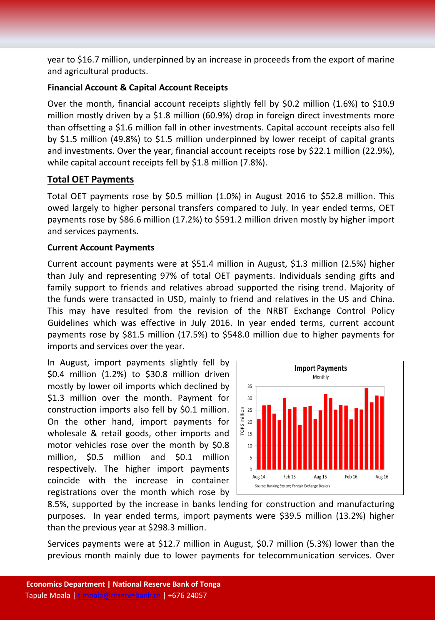year to \$16.7 million, underpinned by an increase in proceeds from the export of marine and agricultural products.

#### **Financial Account & Capital Account Receipts**

Over the month, financial account receipts slightly fell by \$0.2 million (1.6%) to \$10.9 million mostly driven by a \$1.8 million (60.9%) drop in foreign direct investments more than offsetting a \$1.6 million fall in other investments. Capital account receipts also fell by \$1.5 million (49.8%) to \$1.5 million underpinned by lower receipt of capital grants and investments. Over the year, financial account receipts rose by \$22.1 million (22.9%), while capital account receipts fell by \$1.8 million (7.8%).

# **Total OET Payments**

Total OET payments rose by \$0.5 million (1.0%) in August 2016 to \$52.8 million. This owed largely to higher personal transfers compared to July. In year ended terms, OET payments rose by \$86.6 million (17.2%) to \$591.2 million driven mostly by higher import and services payments.

#### **Current Account Payments**

Current account payments were at \$51.4 million in August, \$1.3 million (2.5%) higher than July and representing 97% of total OET payments. Individuals sending gifts and family support to friends and relatives abroad supported the rising trend. Majority of the funds were transacted in USD, mainly to friend and relatives in the US and China. This may have resulted from the revision of the NRBT Exchange Control Policy Guidelines which was effective in July 2016. In year ended terms, current account payments rose by \$81.5 million (17.5%) to \$548.0 million due to higher payments for imports and services over the year.

In August, import payments slightly fell by \$0.4 million (1.2%) to \$30.8 million driven mostly by lower oil imports which declined by \$1.3 million over the month. Payment for construction imports also fell by \$0.1 million. On the other hand, import payments for wholesale & retail goods, other imports and motor vehicles rose over the month by \$0.8 million, \$0.5 million and \$0.1 million respectively. The higher import payments coincide with the increase in container registrations over the month which rose by



8.5%, supported by the increase in banks lending for construction and manufacturing purposes. In year ended terms, import payments were \$39.5 million (13.2%) higher than the previous year at \$298.3 million.

Services payments were at \$12.7 million in August, \$0.7 million (5.3%) lower than the previous month mainly due to lower payments for telecommunication services. Over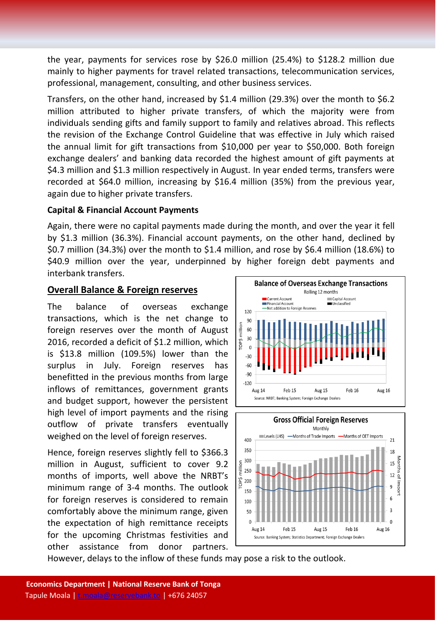the year, payments for services rose by \$26.0 million (25.4%) to \$128.2 million due mainly to higher payments for travel related transactions, telecommunication services, professional, management, consulting, and other business services.

Transfers, on the other hand, increased by \$1.4 million (29.3%) over the month to \$6.2 million attributed to higher private transfers, of which the majority were from individuals sending gifts and family support to family and relatives abroad. This reflects the revision of the Exchange Control Guideline that was effective in July which raised the annual limit for gift transactions from \$10,000 per year to \$50,000. Both foreign exchange dealers' and banking data recorded the highest amount of gift payments at \$4.3 million and \$1.3 million respectively in August. In year ended terms, transfers were recorded at \$64.0 million, increasing by \$16.4 million (35%) from the previous year, again due to higher private transfers.

#### **Capital & Financial Account Payments**

Again, there were no capital payments made during the month, and over the year it fell by \$1.3 million (36.3%). Financial account payments, on the other hand, declined by \$0.7 million (34.3%) over the month to \$1.4 million, and rose by \$6.4 million (18.6%) to \$40.9 million over the year, underpinned by higher foreign debt payments and interbank transfers.

# **Overall Balance & Foreign reserves**

The balance of overseas exchange transactions, which is the net change to foreign reserves over the month of August 2016, recorded a deficit of \$1.2 million, which is \$13.8 million (109.5%) lower than the surplus in July. Foreign reserves has benefitted in the previous months from large inflows of remittances, government grants and budget support, however the persistent high level of import payments and the rising outflow of private transfers eventually weighed on the level of foreign reserves.

Hence, foreign reserves slightly fell to \$366.3 million in August, sufficient to cover 9.2 months of imports, well above the NRBT's minimum range of 3-4 months. The outlook for foreign reserves is considered to remain comfortably above the minimum range, given the expectation of high remittance receipts for the upcoming Christmas festivities and other assistance from donor partners.





However, delays to the inflow of these funds may pose a risk to the outlook.